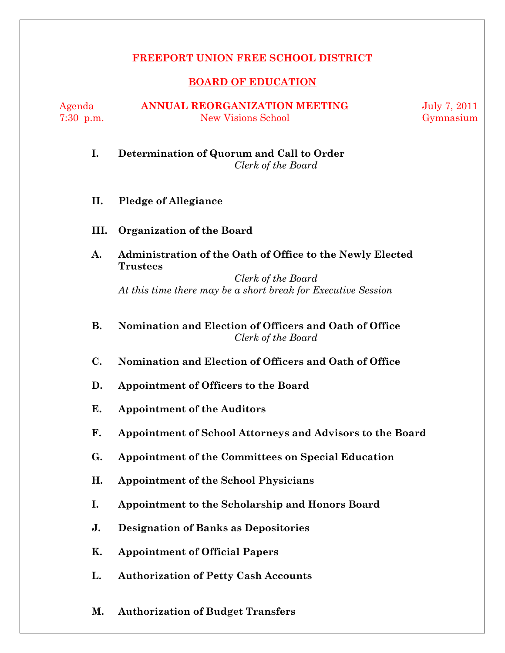# **FREEPORT UNION FREE SCHOOL DISTRICT**

## **BOARD OF EDUCATION**

Agenda **ANNUAL REORGANIZATION MEETING** July 7, 2011 7:30 p.m. New Visions School Gymnasium

# **I. Determination of Quorum and Call to Order**  *Clerk of the Board*

- **II. Pledge of Allegiance**
- **III. Organization of the Board**
- **A. Administration of the Oath of Office to the Newly Elected Trustees**

*Clerk of the Board*  *At this time there may be a short break for Executive Session* 

- **B. Nomination and Election of Officers and Oath of Office** *Clerk of the Board*
- **C. Nomination and Election of Officers and Oath of Office**
- **D. Appointment of Officers to the Board**
- **E. Appointment of the Auditors**
- **F. Appointment of School Attorneys and Advisors to the Board**
- **G. Appointment of the Committees on Special Education**
- **H. Appointment of the School Physicians**
- **I. Appointment to the Scholarship and Honors Board**
- **J. Designation of Banks as Depositories**
- **K. Appointment of Official Papers**
- **L. Authorization of Petty Cash Accounts**
- **M. Authorization of Budget Transfers**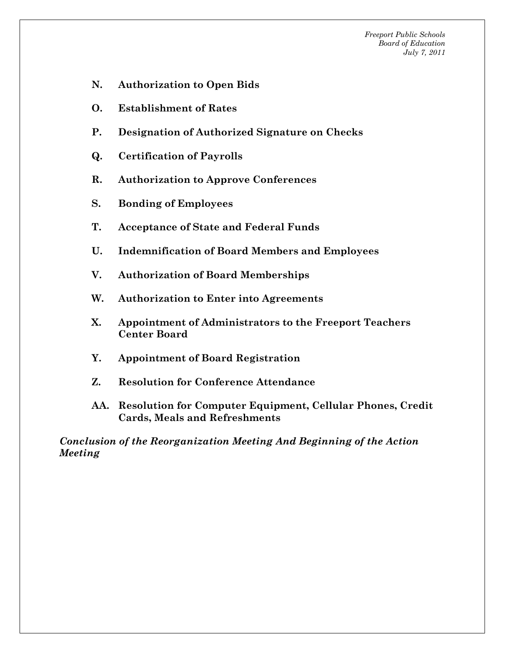*Freeport Public Schools Board of Education July 7, 2011*

- **N. Authorization to Open Bids**
- **O. Establishment of Rates**
- **P. Designation of Authorized Signature on Checks**
- **Q. Certification of Payrolls**
- **R. Authorization to Approve Conferences**
- **S. Bonding of Employees**
- **T. Acceptance of State and Federal Funds**
- **U. Indemnification of Board Members and Employees**
- **V. Authorization of Board Memberships**
- **W. Authorization to Enter into Agreements**
- **X. Appointment of Administrators to the Freeport Teachers Center Board**
- **Y. Appointment of Board Registration**
- **Z. Resolution for Conference Attendance**
- **AA. Resolution for Computer Equipment, Cellular Phones, Credit Cards, Meals and Refreshments**

*Conclusion of the Reorganization Meeting And Beginning of the Action Meeting*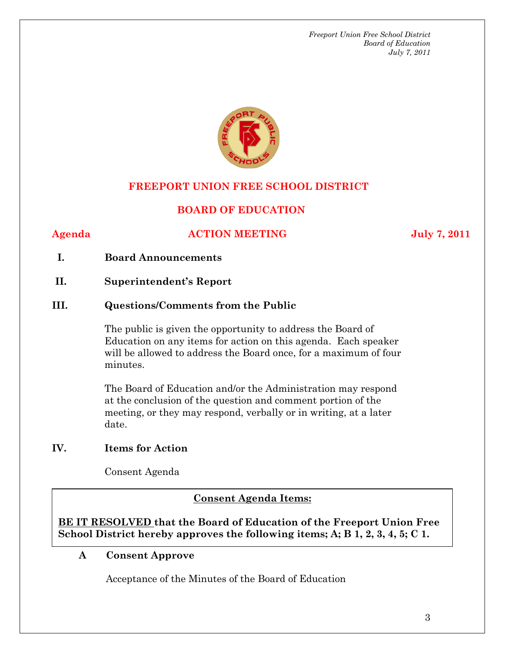*Freeport Union Free School District Board of Education July 7, 2011*



# **FREEPORT UNION FREE SCHOOL DISTRICT**

# **BOARD OF EDUCATION**

#### Agenda **ACTION MEETING** July 7, 2011

#### **I. Board Announcements**

**II. Superintendent's Report** 

## **III. Questions/Comments from the Public**

The public is given the opportunity to address the Board of Education on any items for action on this agenda. Each speaker will be allowed to address the Board once, for a maximum of four minutes.

The Board of Education and/or the Administration may respond at the conclusion of the question and comment portion of the meeting, or they may respond, verbally or in writing, at a later date.

#### **IV. Items for Action**

Consent Agenda

#### **AA. Consent - Approve Consent Agenda Items:**

 $\overline{\text{School District hereby approaches the following items; A; B 1, 2, 3, 4, 5; C 1.}}$ **BE IT RESOLVED that the Board of Education of the Freeport Union Free** 

#### **A Consent Approve**

Acceptance of the Minutes of the Board of Education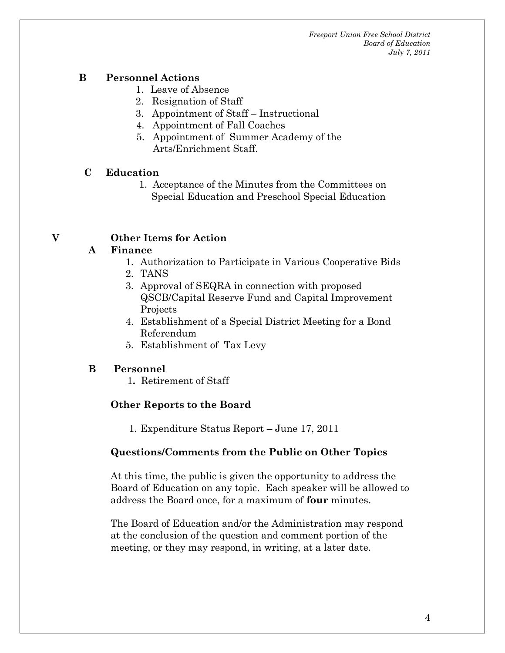*Freeport Union Free School District Board of Education July 7, 2011*

### **B Personnel Actions**

- 1. Leave of Absence
- 2. Resignation of Staff
- 3. Appointment of Staff Instructional
- 4. Appointment of Fall Coaches
- 5. Appointment of Summer Academy of the Arts/Enrichment Staff.

### **C Education**

 1. Acceptance of the Minutes from the Committees on Special Education and Preschool Special Education

# **V Other Items for Action**

### **A Finance**

- 1. Authorization to Participate in Various Cooperative Bids
- 2. TANS
- 3. Approval of SEQRA in connection with proposed QSCB/Capital Reserve Fund and Capital Improvement **Projects**
- 4. Establishment of a Special District Meeting for a Bond Referendum
- 5. Establishment of Tax Levy

### **B Personnel**

1**.** Retirement of Staff

# **Other Reports to the Board**

1. Expenditure Status Report – June 17, 2011

### **Questions/Comments from the Public on Other Topics**

At this time, the public is given the opportunity to address the Board of Education on any topic. Each speaker will be allowed to address the Board once, for a maximum of **four** minutes.

The Board of Education and/or the Administration may respond at the conclusion of the question and comment portion of the meeting, or they may respond, in writing, at a later date.